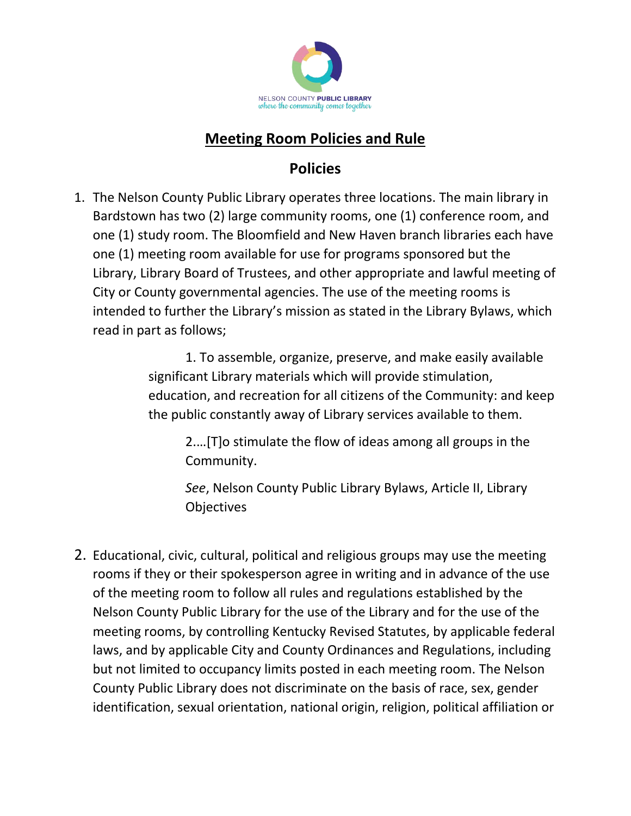

## **Meeting Room Policies and Rule**

## **Policies**

1. The Nelson County Public Library operates three locations. The main library in Bardstown has two (2) large community rooms, one (1) conference room, and one (1) study room. The Bloomfield and New Haven branch libraries each have one (1) meeting room available for use for programs sponsored but the Library, Library Board of Trustees, and other appropriate and lawful meeting of City or County governmental agencies. The use of the meeting rooms is intended to further the Library's mission as stated in the Library Bylaws, which read in part as follows;

> 1. To assemble, organize, preserve, and make easily available significant Library materials which will provide stimulation, education, and recreation for all citizens of the Community: and keep the public constantly away of Library services available to them.

2.…[T]o stimulate the flow of ideas among all groups in the Community.

*See*, Nelson County Public Library Bylaws, Article II, Library **Objectives** 

2. Educational, civic, cultural, political and religious groups may use the meeting rooms if they or their spokesperson agree in writing and in advance of the use of the meeting room to follow all rules and regulations established by the Nelson County Public Library for the use of the Library and for the use of the meeting rooms, by controlling Kentucky Revised Statutes, by applicable federal laws, and by applicable City and County Ordinances and Regulations, including but not limited to occupancy limits posted in each meeting room. The Nelson County Public Library does not discriminate on the basis of race, sex, gender identification, sexual orientation, national origin, religion, political affiliation or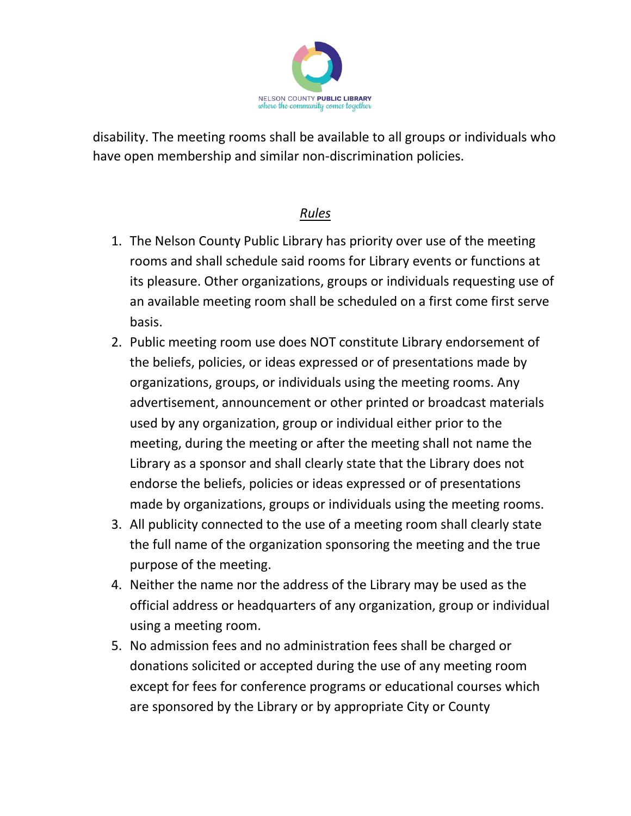

disability. The meeting rooms shall be available to all groups or individuals who have open membership and similar non-discrimination policies.

## *Rules*

- 1. The Nelson County Public Library has priority over use of the meeting rooms and shall schedule said rooms for Library events or functions at its pleasure. Other organizations, groups or individuals requesting use of an available meeting room shall be scheduled on a first come first serve basis.
- 2. Public meeting room use does NOT constitute Library endorsement of the beliefs, policies, or ideas expressed or of presentations made by organizations, groups, or individuals using the meeting rooms. Any advertisement, announcement or other printed or broadcast materials used by any organization, group or individual either prior to the meeting, during the meeting or after the meeting shall not name the Library as a sponsor and shall clearly state that the Library does not endorse the beliefs, policies or ideas expressed or of presentations made by organizations, groups or individuals using the meeting rooms.
- 3. All publicity connected to the use of a meeting room shall clearly state the full name of the organization sponsoring the meeting and the true purpose of the meeting.
- 4. Neither the name nor the address of the Library may be used as the official address or headquarters of any organization, group or individual using a meeting room.
- 5. No admission fees and no administration fees shall be charged or donations solicited or accepted during the use of any meeting room except for fees for conference programs or educational courses which are sponsored by the Library or by appropriate City or County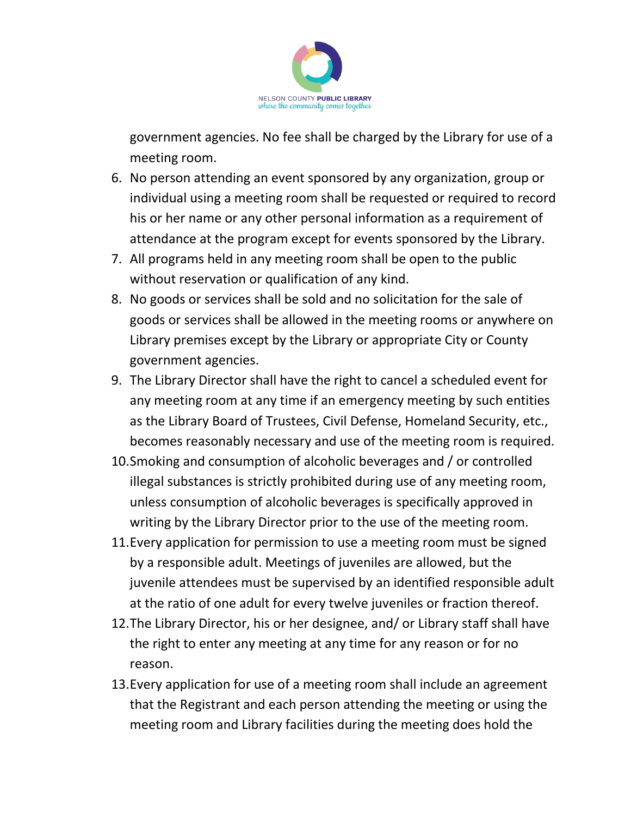

government agencies. No fee shall be charged by the Library for use of a meeting room.

- 6. No person attending an event sponsored by any organization, group or individual using a meeting room shall be requested or required to record his or her name or any other personal information as a requirement of attendance at the program except for events sponsored by the Library.
- 7. All programs held in any meeting room shall be open to the public without reservation or qualification of any kind.
- 8. No goods or services shall be sold and no solicitation for the sale of goods or services shall be allowed in the meeting rooms or anywhere on Library premises except by the Library or appropriate City or County government agencies.
- 9. The Library Director shall have the right to cancel a scheduled event for any meeting room at any time if an emergency meeting by such entities as the Library Board of Trustees, Civil Defense, Homeland Security, etc., becomes reasonably necessary and use of the meeting room is required.
- 10.Smoking and consumption of alcoholic beverages and / or controlled illegal substances is strictly prohibited during use of any meeting room, unless consumption of alcoholic beverages is specifically approved in writing by the Library Director prior to the use of the meeting room.
- 11.Every application for permission to use a meeting room must be signed by a responsible adult. Meetings of juveniles are allowed, but the juvenile attendees must be supervised by an identified responsible adult at the ratio of one adult for every twelve juveniles or fraction thereof.
- 12.The Library Director, his or her designee, and/ or Library staff shall have the right to enter any meeting at any time for any reason or for no reason.
- 13.Every application for use of a meeting room shall include an agreement that the Registrant and each person attending the meeting or using the meeting room and Library facilities during the meeting does hold the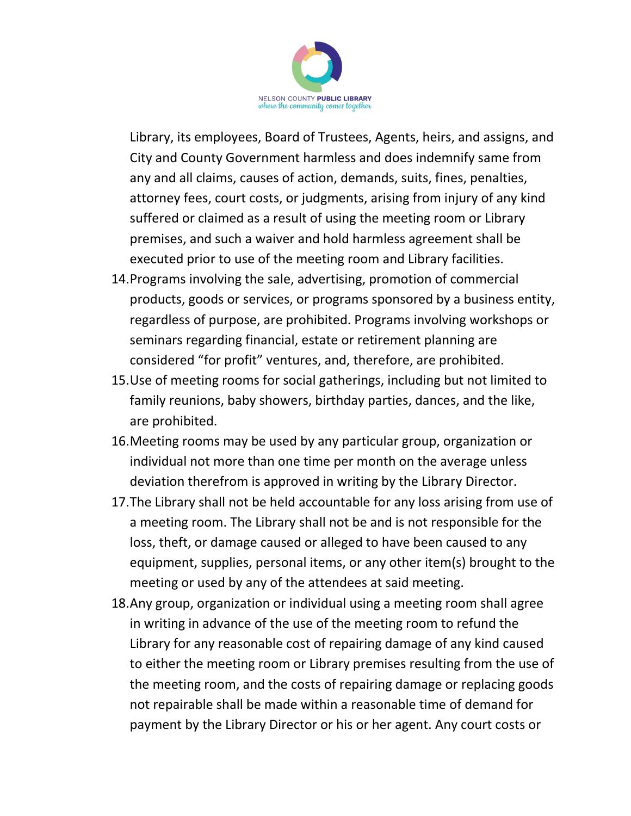

Library, its employees, Board of Trustees, Agents, heirs, and assigns, and City and County Government harmless and does indemnify same from any and all claims, causes of action, demands, suits, fines, penalties, attorney fees, court costs, or judgments, arising from injury of any kind suffered or claimed as a result of using the meeting room or Library premises, and such a waiver and hold harmless agreement shall be executed prior to use of the meeting room and Library facilities.

- 14.Programs involving the sale, advertising, promotion of commercial products, goods or services, or programs sponsored by a business entity, regardless of purpose, are prohibited. Programs involving workshops or seminars regarding financial, estate or retirement planning are considered "for profit" ventures, and, therefore, are prohibited.
- 15.Use of meeting rooms for social gatherings, including but not limited to family reunions, baby showers, birthday parties, dances, and the like, are prohibited.
- 16.Meeting rooms may be used by any particular group, organization or individual not more than one time per month on the average unless deviation therefrom is approved in writing by the Library Director.
- 17.The Library shall not be held accountable for any loss arising from use of a meeting room. The Library shall not be and is not responsible for the loss, theft, or damage caused or alleged to have been caused to any equipment, supplies, personal items, or any other item(s) brought to the meeting or used by any of the attendees at said meeting.
- 18.Any group, organization or individual using a meeting room shall agree in writing in advance of the use of the meeting room to refund the Library for any reasonable cost of repairing damage of any kind caused to either the meeting room or Library premises resulting from the use of the meeting room, and the costs of repairing damage or replacing goods not repairable shall be made within a reasonable time of demand for payment by the Library Director or his or her agent. Any court costs or